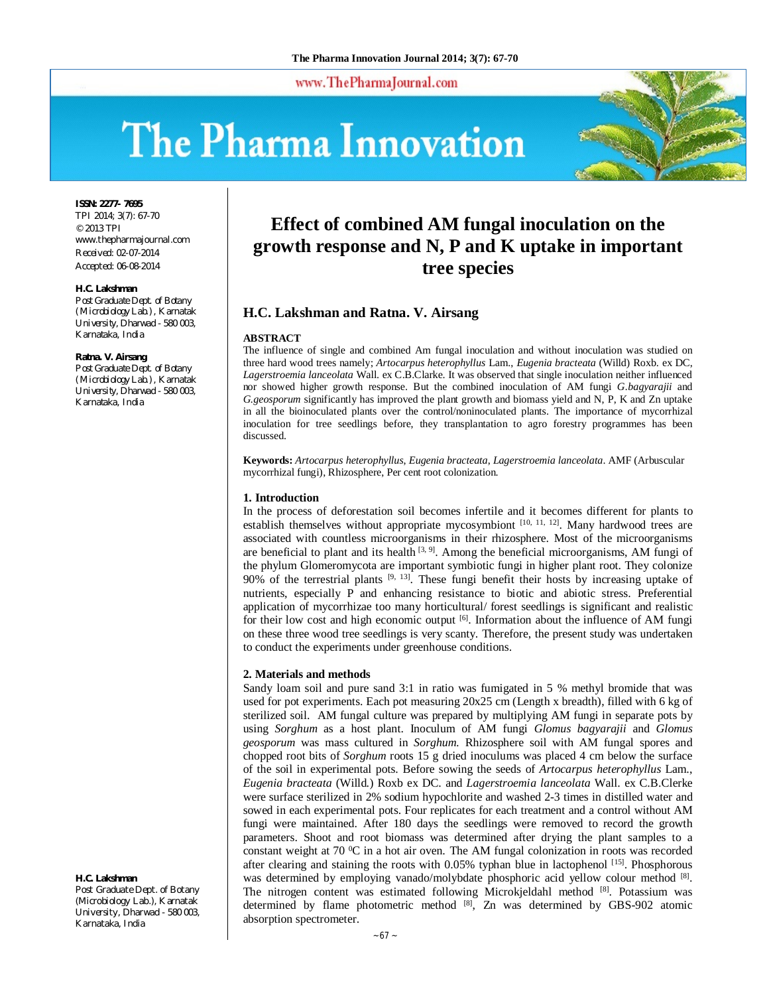www.ThePharmaJournal.com

# The Pharma Innovation



**ISSN: 2277- 7695**

TPI 2014; 3(7): 67-70 © 2013 TPI www.thepharmajournal.com Received: 02-07-2014 Accepted: 06-08-2014

#### **H.C. Lakshman**

*Post Graduate Dept. of Botany (Microbiology Lab.), Karnatak University, Dharwad - 580 003, Karnataka, India*

#### **Ratna. V. Airsang**

*Post Graduate Dept. of Botany (Microbiology Lab.), Karnatak University, Dharwad - 580 003, Karnataka, India*

# **H.C. Lakshman**

Post Graduate Dept. of Botany (Microbiology Lab.), Karnatak University, Dharwad - 580 003, Karnataka, India

# **Effect of combined AM fungal inoculation on the growth response and N, P and K uptake in important tree species**

# **H.C. Lakshman and Ratna. V. Airsang**

#### **ABSTRACT**

The influence of single and combined Am fungal inoculation and without inoculation was studied on three hard wood trees namely; *Artocarpus heterophyllus* Lam., *Eugenia bracteata* (Willd) Roxb. ex DC, *Lagerstroemia lanceolata* Wall. ex C.B.Clarke. It was observed that single inoculation neither influenced nor showed higher growth response. But the combined inoculation of AM fungi *G.bagyarajii* and *G.geosporum* significantly has improved the plant growth and biomass yield and N, P, K and Zn uptake in all the bioinoculated plants over the control/noninoculated plants. The importance of mycorrhizal inoculation for tree seedlings before, they transplantation to agro forestry programmes has been discussed.

**Keywords:** *Artocarpus heterophyllus*, *Eugenia bracteata*, *Lagerstroemia lanceolata*. AMF (Arbuscular mycorrhizal fungi), Rhizosphere, Per cent root colonization.

#### **1. Introduction**

In the process of deforestation soil becomes infertile and it becomes different for plants to establish themselves without appropriate mycosymbiont [10, 11, 12]. Many hardwood trees are associated with countless microorganisms in their rhizosphere. Most of the microorganisms are beneficial to plant and its health  $[3, 9]$ . Among the beneficial microorganisms, AM fungi of the phylum Glomeromycota are important symbiotic fungi in higher plant root. They colonize  $90\%$  of the terrestrial plants <sup>[9, 13]</sup>. These fungi benefit their hosts by increasing uptake of nutrients, especially P and enhancing resistance to biotic and abiotic stress. Preferential application of mycorrhizae too many horticultural/ forest seedlings is significant and realistic for their low cost and high economic output  $\left[6\right]$ . Information about the influence of AM fungi on these three wood tree seedlings is very scanty. Therefore, the present study was undertaken to conduct the experiments under greenhouse conditions.

# **2. Materials and methods**

Sandy loam soil and pure sand 3:1 in ratio was fumigated in 5 % methyl bromide that was used for pot experiments. Each pot measuring 20x25 cm (Length x breadth), filled with 6 kg of sterilized soil. AM fungal culture was prepared by multiplying AM fungi in separate pots by using *Sorghum* as a host plant. Inoculum of AM fungi *Glomus bagyarajii* and *Glomus geosporum* was mass cultured in *Sorghum.* Rhizosphere soil with AM fungal spores and chopped root bits of *Sorghum* roots 15 g dried inoculums was placed 4 cm below the surface of the soil in experimental pots. Before sowing the seeds of *Artocarpus heterophyllus* Lam., *Eugenia bracteata* (Willd.) Roxb ex DC. and *Lagerstroemia lanceolata* Wall. ex C.B.Clerke were surface sterilized in 2% sodium hypochlorite and washed 2-3 times in distilled water and sowed in each experimental pots. Four replicates for each treatment and a control without AM fungi were maintained. After 180 days the seedlings were removed to record the growth parameters. Shoot and root biomass was determined after drying the plant samples to a constant weight at 70 °C in a hot air oven. The AM fungal colonization in roots was recorded after clearing and staining the roots with 0.05% typhan blue in lactophenol [15]. Phosphorous was determined by employing vanado/molybdate phosphoric acid yellow colour method [8]. The nitrogen content was estimated following Microkjeldahl method [8]. Potassium was determined by flame photometric method [8], Zn was determined by GBS-902 atomic absorption spectrometer.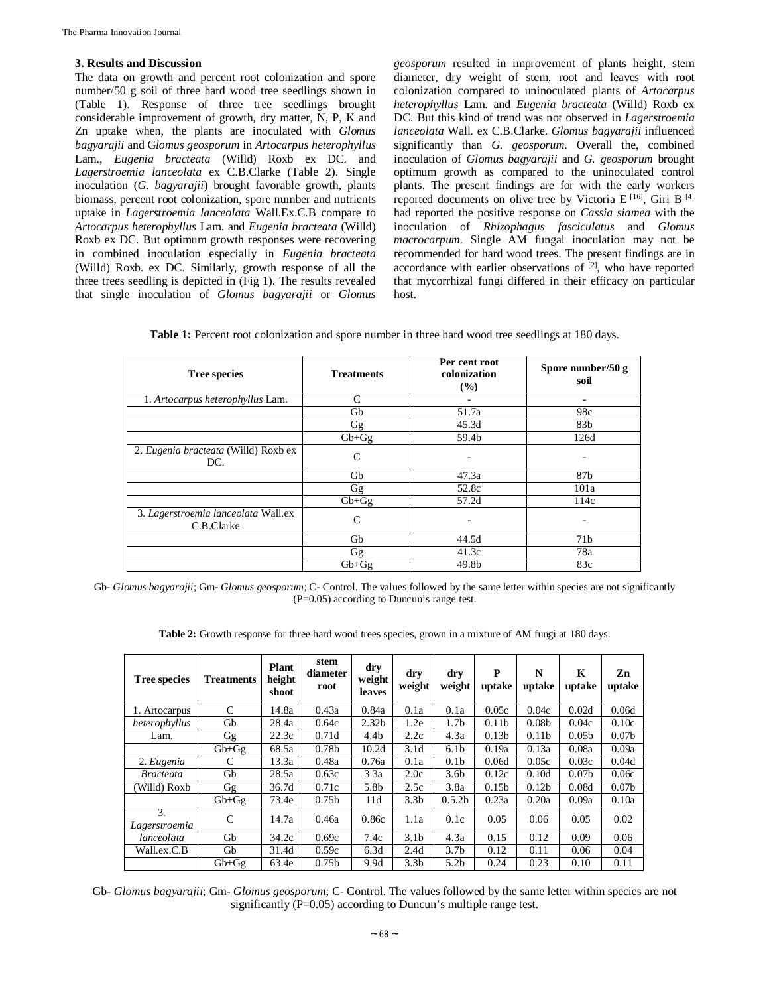## **3. Results and Discussion**

The data on growth and percent root colonization and spore number/50 g soil of three hard wood tree seedlings shown in (Table 1). Response of three tree seedlings brought considerable improvement of growth, dry matter, N, P, K and Zn uptake when, the plants are inoculated with *Glomus bagyarajii* and G*lomus geosporum* in *Artocarpus heterophyllus*  Lam., *Eugenia bracteata* (Willd) Roxb ex DC. and *Lagerstroemia lanceolata* ex C.B.Clarke (Table 2). Single inoculation (*G. bagyarajii*) brought favorable growth, plants biomass, percent root colonization, spore number and nutrients uptake in *Lagerstroemia lanceolata* Wall.Ex.C.B compare to *Artocarpus heterophyllus* Lam. and *Eugenia bracteata* (Willd) Roxb ex DC. But optimum growth responses were recovering in combined inoculation especially in *Eugenia bracteata* (Willd) Roxb. ex DC. Similarly, growth response of all the three trees seedling is depicted in (Fig 1). The results revealed that single inoculation of *Glomus bagyarajii* or *Glomus*  *geosporum* resulted in improvement of plants height, stem diameter, dry weight of stem, root and leaves with root colonization compared to uninoculated plants of *Artocarpus heterophyllus* Lam. and *Eugenia bracteata* (Willd) Roxb ex DC. But this kind of trend was not observed in *Lagerstroemia lanceolata* Wall. ex C.B.Clarke. *Glomus bagyarajii* influenced significantly than *G. geosporum*. Overall the, combined inoculation of *Glomus bagyarajii* and *G. geosporum* brought optimum growth as compared to the uninoculated control plants. The present findings are for with the early workers reported documents on olive tree by Victoria E<sup>[16]</sup>, Giri B<sup>[4]</sup> had reported the positive response on *Cassia siamea* with the inoculation of *Rhizophagus fasciculatus* and *Glomus macrocarpum*. Single AM fungal inoculation may not be recommended for hard wood trees. The present findings are in accordance with earlier observations of  $[2]$ , who have reported that mycorrhizal fungi differed in their efficacy on particular host.

| <b>Tree species</b>                               | <b>Treatments</b> | Per cent root<br>colonization<br>(%) | Spore number/50 g<br>soil<br>٠ |  |  |
|---------------------------------------------------|-------------------|--------------------------------------|--------------------------------|--|--|
| 1. Artocarpus heterophyllus Lam.                  | C                 | ۰                                    |                                |  |  |
|                                                   | Gb                | 51.7a                                | 98c                            |  |  |
|                                                   | Gg                | 45.3d                                | 83 <sub>b</sub>                |  |  |
|                                                   | $Gb + Gg$         | 59.4b                                | 126d                           |  |  |
| 2. Eugenia bracteata (Willd) Roxb ex<br>DC.       | $\mathsf{C}$      |                                      |                                |  |  |
|                                                   | Gb                | 47.3a                                | 87b                            |  |  |
|                                                   | Gg                | 52.8c                                | 101a                           |  |  |
|                                                   | $Gb+Gg$           | 57.2d                                | 114c                           |  |  |
| 3. Lagerstroemia lanceolata Wall.ex<br>C.B.Clarke | C                 | ۰                                    |                                |  |  |
|                                                   | Gb                | 44.5d                                | 71 <sub>b</sub>                |  |  |
|                                                   | Gg                | 41.3c                                | 78a                            |  |  |
|                                                   | $Gb + Gg$         | 49.8b                                | 83c                            |  |  |

Gb- *Glomus bagyarajii*; Gm- *Glomus geosporum*; C- Control. The values followed by the same letter within species are not significantly (P=0.05) according to Duncun's range test.

**Table 2:** Growth response for three hard wood trees species, grown in a mixture of AM fungi at 180 days.

| <b>Tree species</b> | <b>Treatments</b> | <b>Plant</b><br>height<br>shoot | stem<br>diameter<br>root | dry<br>weight<br>leaves | dry<br>weight    | dry<br>weight      | P<br>uptake       | N<br>uptake       | K<br>uptake       | Zn<br>uptake      |
|---------------------|-------------------|---------------------------------|--------------------------|-------------------------|------------------|--------------------|-------------------|-------------------|-------------------|-------------------|
| 1. Artocarpus       | C                 | 14.8a                           | 0.43a                    | 0.84a                   | 0.1a             | 0.1a               | 0.05c             | 0.04c             | 0.02d             | 0.06d             |
| heterophyllus       | Gb                | 28.4a                           | 0.64c                    | 2.32 <sub>b</sub>       | 1.2e             | 1.7 <sub>b</sub>   | 0.11 <sub>b</sub> | 0.08 <sub>b</sub> | 0.04c             | 0.10c             |
| Lam.                | Gg                | 22.3c                           | 0.71d                    | 4.4b                    | 2.2c             | 4.3a               | 0.13 <sub>b</sub> | 0.11 <sub>b</sub> | 0.05 <sub>b</sub> | 0.07 <sub>b</sub> |
|                     | $Gb+Gg$           | 68.5a                           | 0.78 <sub>b</sub>        | 10.2d                   | 3.1d             | 6.1 <sub>b</sub>   | 0.19a             | 0.13a             | 0.08a             | 0.09a             |
| 2. Eugenia          | C                 | 13.3a                           | 0.48a                    | 0.76a                   | 0.1a             | 0.1 <sub>b</sub>   | 0.06d             | 0.05c             | 0.03c             | 0.04d             |
| <i>Bracteata</i>    | Gb                | 28.5a                           | 0.63c                    | 3.3a                    | 2.0c             | 3.6 <sub>b</sub>   | 0.12c             | 0.10d             | 0.07 <sub>b</sub> | 0.06c             |
| (Willd) Roxb        | Gg                | 36.7d                           | 0.71c                    | 5.8b                    | 2.5c             | 3.8a               | 0.15 <sub>b</sub> | 0.12 <sub>b</sub> | 0.08d             | 0.07 <sub>b</sub> |
|                     | $Gb+Gg$           | 73.4e                           | 0.75 <sub>b</sub>        | 11d                     | 3.3 <sub>b</sub> | 0.5.2 <sub>b</sub> | 0.23a             | 0.20a             | 0.09a             | 0.10a             |
| 3.<br>Lagerstroemia | C                 | 14.7a                           | 0.46a                    | 0.86c                   | 1.1a             | 0.1c               | 0.05              | 0.06              | 0.05              | 0.02              |
| lanceolata          | Gb                | 34.2c                           | 0.69c                    | 7.4c                    | 3.1 <sub>b</sub> | 4.3a               | 0.15              | 0.12              | 0.09              | 0.06              |
| Wall.ex.C.B         | Gb                | 31.4d                           | 0.59c                    | 6.3d                    | 2.4d             | 3.7 <sub>b</sub>   | 0.12              | 0.11              | 0.06              | 0.04              |
|                     | $Gb + Gg$         | 63.4e                           | 0.75 <sub>b</sub>        | 9.9d                    | 3.3 <sub>b</sub> | 5.2 <sub>b</sub>   | 0.24              | 0.23              | 0.10              | 0.11              |

Gb- *Glomus bagyarajii*; Gm- *Glomus geosporum*; C- Control. The values followed by the same letter within species are not significantly (P=0.05) according to Duncun's multiple range test.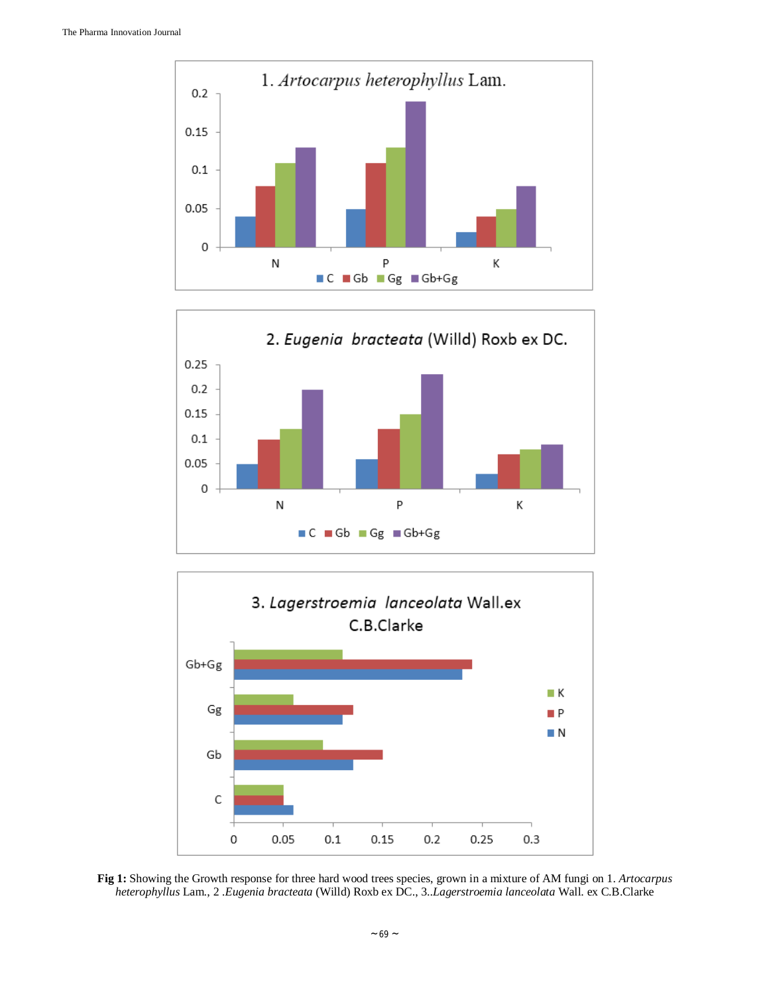





**Fig 1:** Showing the Growth response for three hard wood trees species, grown in a mixture of AM fungi on 1. *Artocarpus heterophyllus* Lam., 2 .*Eugenia bracteata* (Willd) Roxb ex DC., 3..*Lagerstroemia lanceolata* Wall. ex C.B.Clarke